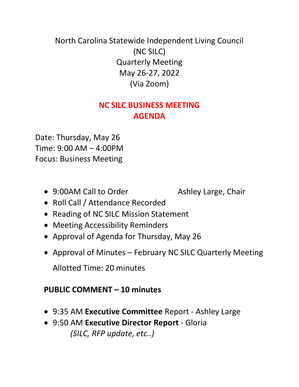## North Carolina Statewide Independent Living Council (NC SILC) Quarterly Meeting May 26-27, 2022 (Via Zoom)

## **NC SILC BUSINESS MEETING AGENDA**

Date: Thursday, May 26 Time: 9:00 AM – 4:00PM Focus: Business Meeting

• 9:00AM Call to Order Ashley Large, Chair

- Roll Call / Attendance Recorded
- Reading of NC SILC Mission Statement
- Meeting Accessibility Reminders
- Approval of Agenda for Thursday, May 26
- Approval of Minutes February NC SILC Quarterly Meeting

Allotted Time: 20 minutes

## **PUBLIC COMMENT – 10 minutes**

- 9:35 AM **Executive Committee** Report Ashley Large
- 9:50 AM **Executive Director Report** Gloria *(SILC, RFP update, etc..)*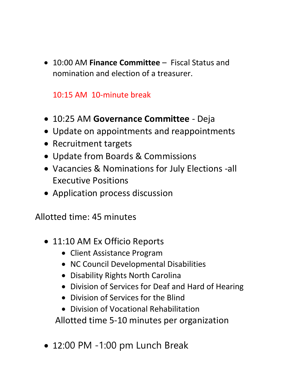10:00 AM **Finance Committee** – Fiscal Status and nomination and election of a treasurer.

10:15 AM 10-minute break

- 10:25 AM **Governance Committee** Deja
- Update on appointments and reappointments
- Recruitment targets
- Update from Boards & Commissions
- Vacancies & Nominations for July Elections -all Executive Positions
- Application process discussion

Allotted time: 45 minutes

- 11:10 AM Ex Officio Reports
	- Client Assistance Program
	- NC Council Developmental Disabilities
	- Disability Rights North Carolina
	- Division of Services for Deaf and Hard of Hearing
	- Division of Services for the Blind
	- Division of Vocational Rehabilitation

Allotted time 5-10 minutes per organization

• 12:00 PM -1:00 pm Lunch Break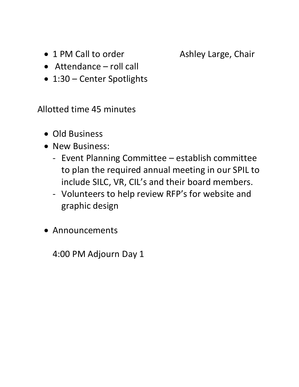• 1 PM Call to order **Ashley Large, Chair** 

- Attendance roll call
- 1:30 Center Spotlights

Allotted time 45 minutes

- Old Business
- New Business:
	- Event Planning Committee establish committee to plan the required annual meeting in our SPIL to include SILC, VR, CIL's and their board members.
	- Volunteers to help review RFP's for website and graphic design
- Announcements

4:00 PM Adjourn Day 1